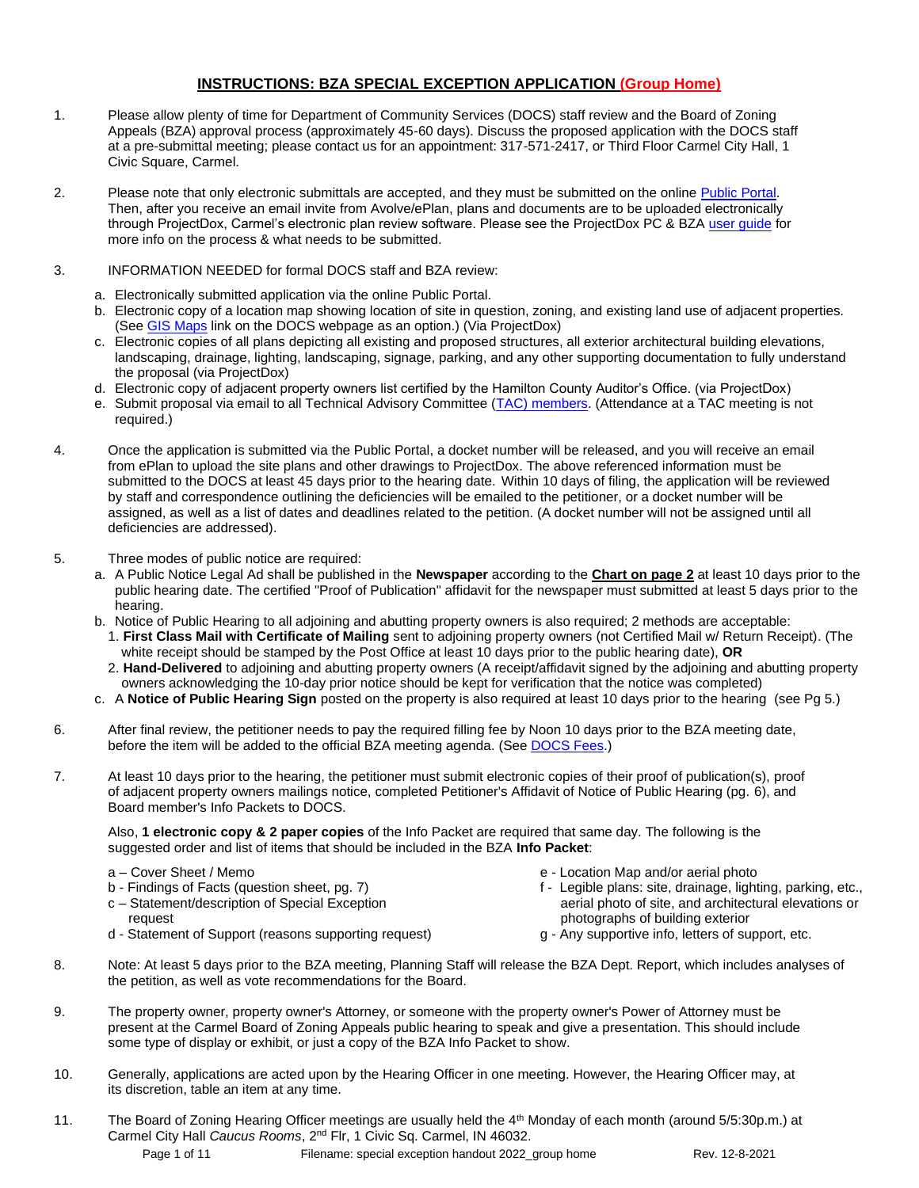### **INSTRUCTIONS: BZA SPECIAL EXCEPTION APPLICATION (Group Home)**

- 1. Please allow plenty of time for Department of Community Services (DOCS) staff review and the Board of Zoning Appeals (BZA) approval process (approximately 45-60 days). Discuss the proposed application with the DOCS staff at a pre-submittal meeting; please contact us for an appointment: 317-571-2417, or Third Floor Carmel City Hall, 1 Civic Square, Carmel.
- 2. Please note that only electronic submittals are accepted, and they must be submitted on the onlin[e Public Portal.](https://cw.carmel.in.gov/PublicAccess/template/Login.aspx)  Then, after you receive an email invite from Avolve/ePlan, plans and documents are to be uploaded electronically through ProjectDox, Carmel's electronic plan review software. Please see the ProjectDox PC & BZA user quide for more info on the process & what needs to be submitted.
- 3. INFORMATION NEEDED for formal DOCS staff and BZA review:
	- a. Electronically submitted application via the online Public Portal.
	- b. Electronic copy of a location map showing location of site in question, zoning, and existing land use of adjacent properties. (See [GIS Maps](https://carmelgis.carmel.in.gov/maps/apps/webappviewer/index.html?id=3005d15bb8ee47c48538605fa421a359&extent=-9600433.8691%2C4865462.0861%2C-9599860.5914%2C4865778.5832%2C102100) link on the DOCS webpage as an option.) (Via ProjectDox)
	- c. Electronic copies of all plans depicting all existing and proposed structures, all exterior architectural building elevations, landscaping, drainage, lighting, landscaping, signage, parking, and any other supporting documentation to fully understand the proposal (via ProjectDox)
	- d. Electronic copy of adjacent property owners list certified by the Hamilton County Auditor's Office. (via ProjectDox)
	- e. Submit proposal via email to all Technical Advisory Committee [\(TAC\) members.](http://www.carmel.in.gov/index.aspx?page=567) (Attendance at a TAC meeting is not required.)
- 4. Once the application is submitted via the Public Portal, a docket number will be released, and you will receive an email from ePlan to upload the site plans and other drawings to ProjectDox. The above referenced information must be submitted to the DOCS at least 45 days prior to the hearing date. Within 10 days of filing, the application will be reviewed by staff and correspondence outlining the deficiencies will be emailed to the petitioner, or a docket number will be assigned, as well as a list of dates and deadlines related to the petition. (A docket number will not be assigned until all deficiencies are addressed).
- 5. Three modes of public notice are required:
	- a. A Public Notice Legal Ad shall be published in the **Newspaper** according to the **Chart on page 2** at least 10 days prior to the public hearing date. The certified "Proof of Publication" affidavit for the newspaper must submitted at least 5 days prior to the hearing.
	- b. Notice of Public Hearing to all adjoining and abutting property owners is also required; 2 methods are acceptable:
		- 1. **First Class Mail with Certificate of Mailing** sent to adjoining property owners (not Certified Mail w/ Return Receipt). (The white receipt should be stamped by the Post Office at least 10 days prior to the public hearing date), **OR**
		- 2. **Hand-Delivered** to adjoining and abutting property owners (A receipt/affidavit signed by the adjoining and abutting property owners acknowledging the 10-day prior notice should be kept for verification that the notice was completed)
	- c. A **Notice of Public Hearing Sign** posted on the property is also required at least 10 days prior to the hearing (see Pg 5.)
- 6. After final review, the petitioner needs to pay the required filling fee by Noon 10 days prior to the BZA meeting date, before the item will be added to the official BZA meeting agenda. (Se[e DOCS Fees.](https://www.carmel.in.gov/department-services/community-services-planning-and-zoning-/applications-fees-and-permits))
- 7. At least 10 days prior to the hearing, the petitioner must submit electronic copies of their proof of publication(s), proof of adjacent property owners mailings notice, completed Petitioner's Affidavit of Notice of Public Hearing (pg. 6), and Board member's Info Packets to DOCS.

Also, **1 electronic copy & 2 paper copies** of the Info Packet are required that same day. The following is the suggested order and list of items that should be included in the BZA **Info Packet**:

- a Cover Sheet / Memo
- b Findings of Facts (question sheet, pg. 7)
- c Statement/description of Special Exception request
- d Statement of Support (reasons supporting request)
- e Location Map and/or aerial photo
- f Legible plans: site, drainage, lighting, parking, etc., aerial photo of site, and architectural elevations or photographs of building exterior
- g Any supportive info, letters of support, etc.
- 8. Note: At least 5 days prior to the BZA meeting, Planning Staff will release the BZA Dept. Report, which includes analyses of the petition, as well as vote recommendations for the Board.
- 9. The property owner, property owner's Attorney, or someone with the property owner's Power of Attorney must be present at the Carmel Board of Zoning Appeals public hearing to speak and give a presentation. This should include some type of display or exhibit, or just a copy of the BZA Info Packet to show.
- 10. Generally, applications are acted upon by the Hearing Officer in one meeting. However, the Hearing Officer may, at its discretion, table an item at any time.
- 11. The Board of Zoning Hearing Officer meetings are usually held the  $4<sup>th</sup>$  Monday of each month (around  $5/5:30$ p.m.) at Carmel City Hall *Caucus Rooms*, 2nd Flr, 1 Civic Sq. Carmel, IN 46032.

Page 1 of 11 Filename: special exception handout 2022\_group home Rev. 12-8-2021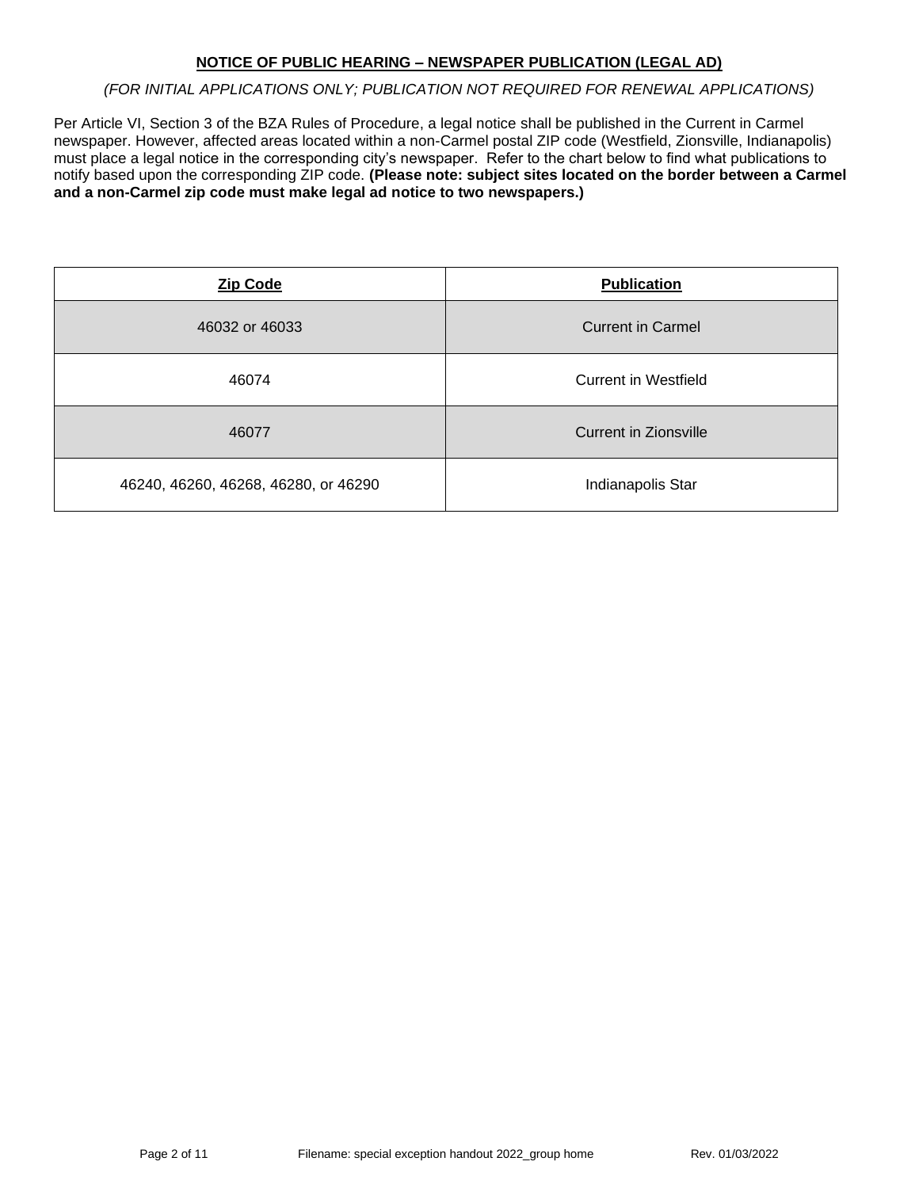## **NOTICE OF PUBLIC HEARING – NEWSPAPER PUBLICATION (LEGAL AD)**

### *(FOR INITIAL APPLICATIONS ONLY; PUBLICATION NOT REQUIRED FOR RENEWAL APPLICATIONS)*

Per Article VI, Section 3 of the BZA Rules of Procedure, a legal notice shall be published in the Current in Carmel newspaper. However, affected areas located within a non-Carmel postal ZIP code (Westfield, Zionsville, Indianapolis) must place a legal notice in the corresponding city's newspaper. Refer to the chart below to find what publications to notify based upon the corresponding ZIP code. **(Please note: subject sites located on the border between a Carmel and a non-Carmel zip code must make legal ad notice to two newspapers.)**

| <b>Zip Code</b>                      | <b>Publication</b>       |
|--------------------------------------|--------------------------|
| 46032 or 46033                       | <b>Current in Carmel</b> |
| 46074                                | Current in Westfield     |
| 46077                                | Current in Zionsville    |
| 46240, 46260, 46268, 46280, or 46290 | Indianapolis Star        |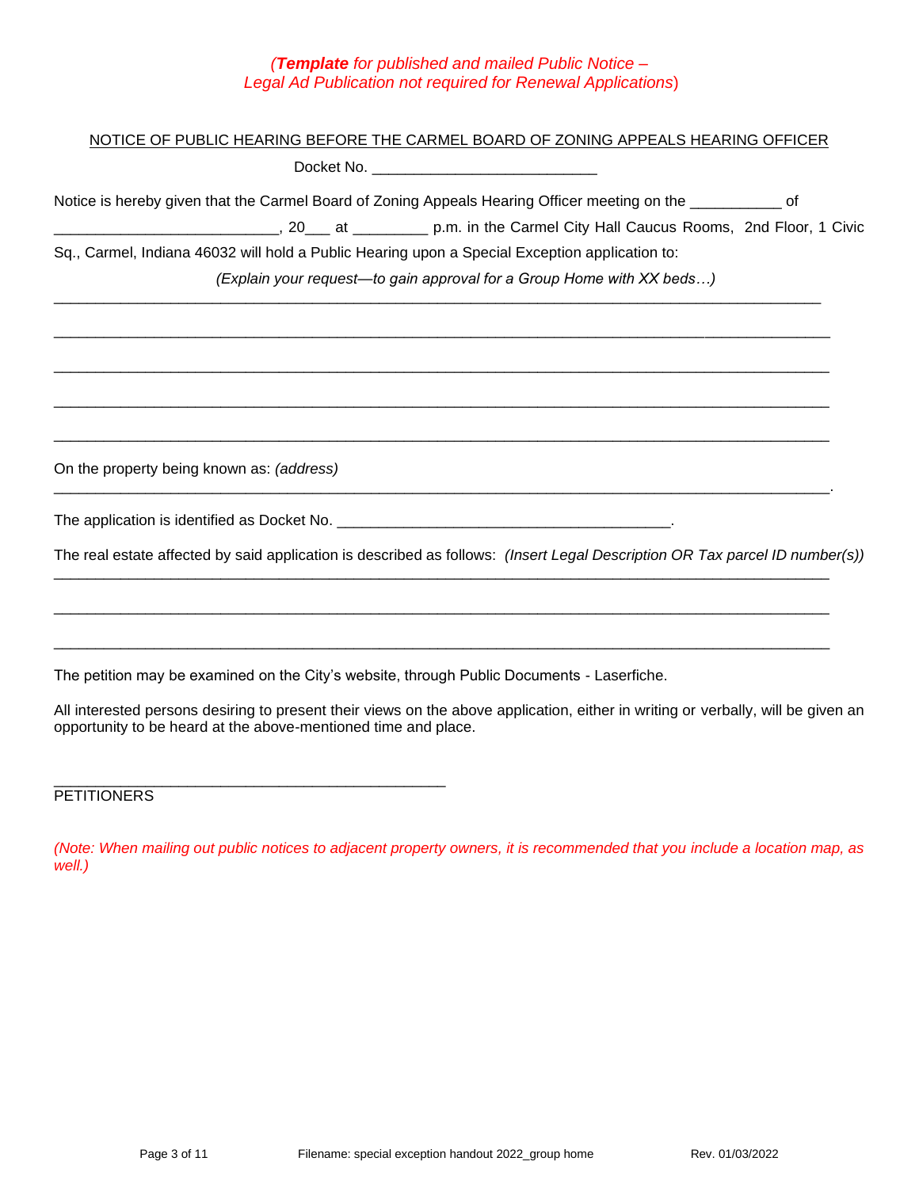## *(Template for published and mailed Public Notice – Legal Ad Publication not required for Renewal Applications*)

| NOTICE OF PUBLIC HEARING BEFORE THE CARMEL BOARD OF ZONING APPEALS HEARING OFFICER                                                                                                                 |
|----------------------------------------------------------------------------------------------------------------------------------------------------------------------------------------------------|
|                                                                                                                                                                                                    |
| Notice is hereby given that the Carmel Board of Zoning Appeals Hearing Officer meeting on the ____________ of                                                                                      |
| Sq., Carmel, Indiana 46032 will hold a Public Hearing upon a Special Exception application to:                                                                                                     |
| (Explain your request—to gain approval for a Group Home with XX beds)                                                                                                                              |
|                                                                                                                                                                                                    |
|                                                                                                                                                                                                    |
|                                                                                                                                                                                                    |
| On the property being known as: (address)                                                                                                                                                          |
|                                                                                                                                                                                                    |
| The real estate affected by said application is described as follows: (Insert Legal Description OR Tax parcel ID number(s))                                                                        |
|                                                                                                                                                                                                    |
| The petition may be examined on the City's website, through Public Documents - Laserfiche.                                                                                                         |
| All interested persons desiring to present their views on the above application, either in writing or verbally, will be given an<br>opportunity to be heard at the above-mentioned time and place. |
|                                                                                                                                                                                                    |

**PETITIONERS** 

*(Note: When mailing out public notices to adjacent property owners, it is recommended that you include a location map, as well.)*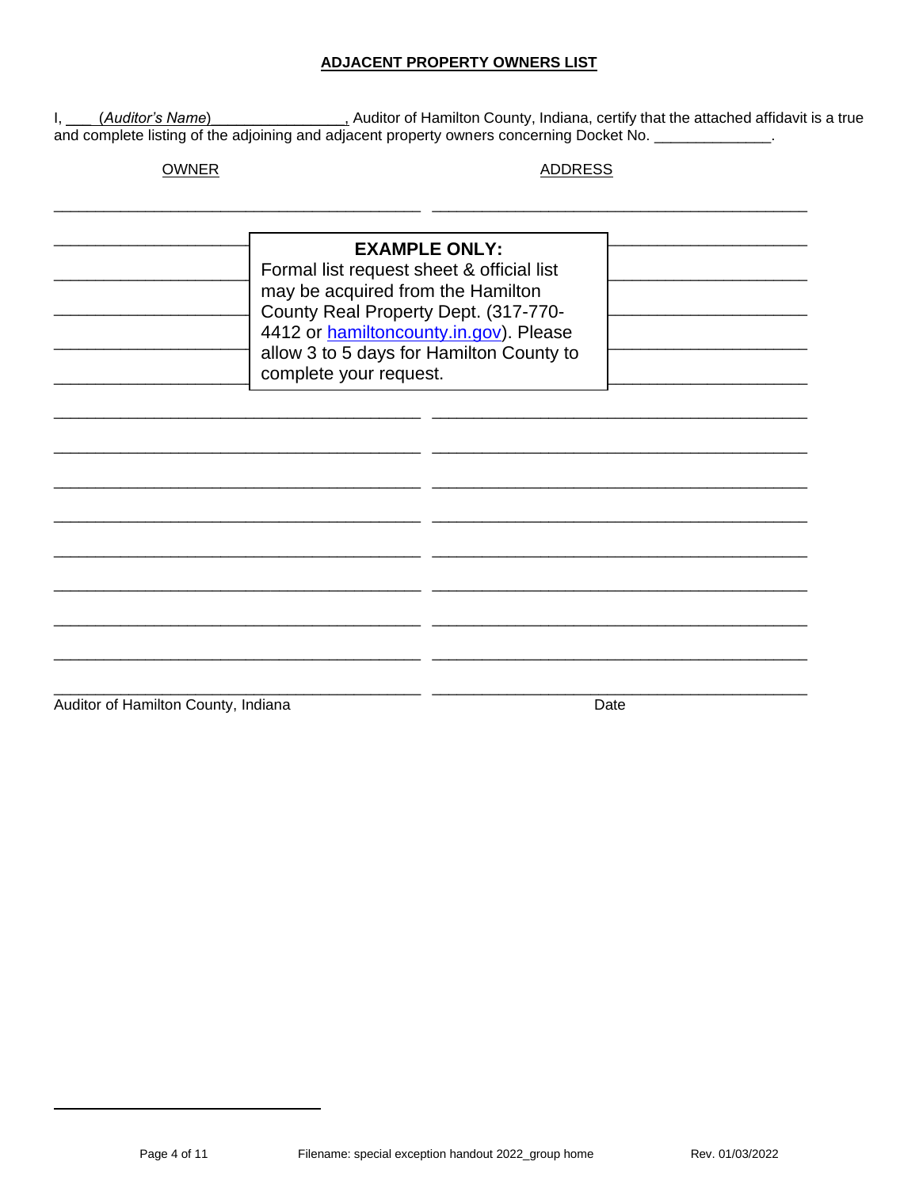### **ADJACENT PROPERTY OWNERS LIST**

I, *(Auditor's Name)* (*Auditor's Name*) 1. Auditor of Hamilton County, Indiana, certify that the attached affidavit is a true and complete listing of the adjoining and adjacent property owners concerning Docket No.

**OWNER** 

**ADDRESS** 

| <b>EXAMPLE ONLY:</b><br>Formal list request sheet & official list<br>may be acquired from the Hamilton<br>County Real Property Dept. (317-770-<br>4412 or hamiltoncounty.in.gov). Please<br>allow 3 to 5 days for Hamilton County to<br>complete your request. |  |  |
|----------------------------------------------------------------------------------------------------------------------------------------------------------------------------------------------------------------------------------------------------------------|--|--|
|                                                                                                                                                                                                                                                                |  |  |
|                                                                                                                                                                                                                                                                |  |  |

Auditor of Hamilton County, Indiana

Date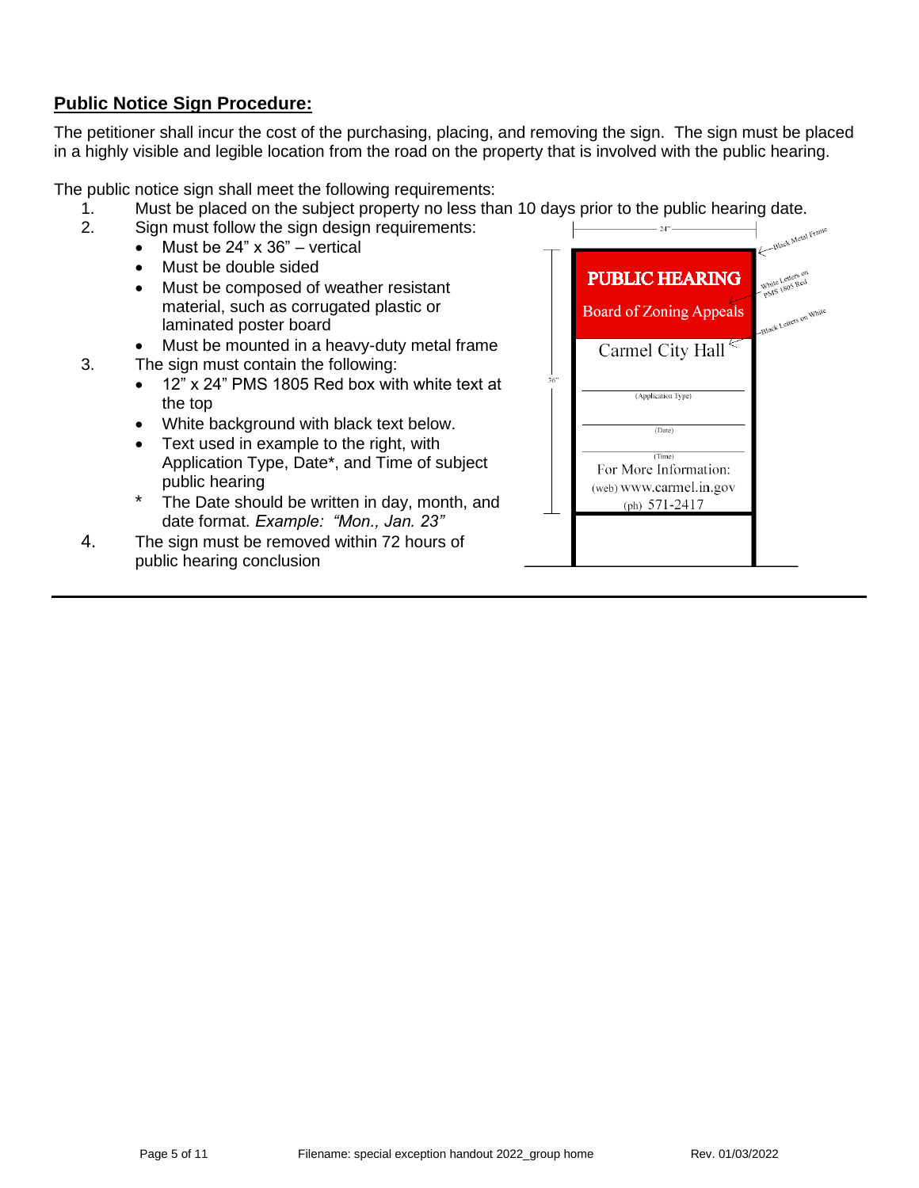# **Public Notice Sign Procedure:**

The petitioner shall incur the cost of the purchasing, placing, and removing the sign. The sign must be placed in a highly visible and legible location from the road on the property that is involved with the public hearing.

The public notice sign shall meet the following requirements:

- 1. Must be placed on the subject property no less than 10 days prior to the public hearing date.
- 2. Sign must follow the sign design requirements:
	- Must be  $24" \times 36"$  vertical
	- Must be double sided
	- Must be composed of weather resistant material, such as corrugated plastic or laminated poster board
	- Must be mounted in a heavy-duty metal frame
- 3. The sign must contain the following:
	- 12" x 24" PMS 1805 Red box with white text at the top
	- White background with black text below.
	- Text used in example to the right, with Application Type, Date\*, and Time of subject public hearing
	- \* The Date should be written in day, month, and date format. *Example: "Mon., Jan. 23"*
- 4. The sign must be removed within 72 hours of public hearing conclusion

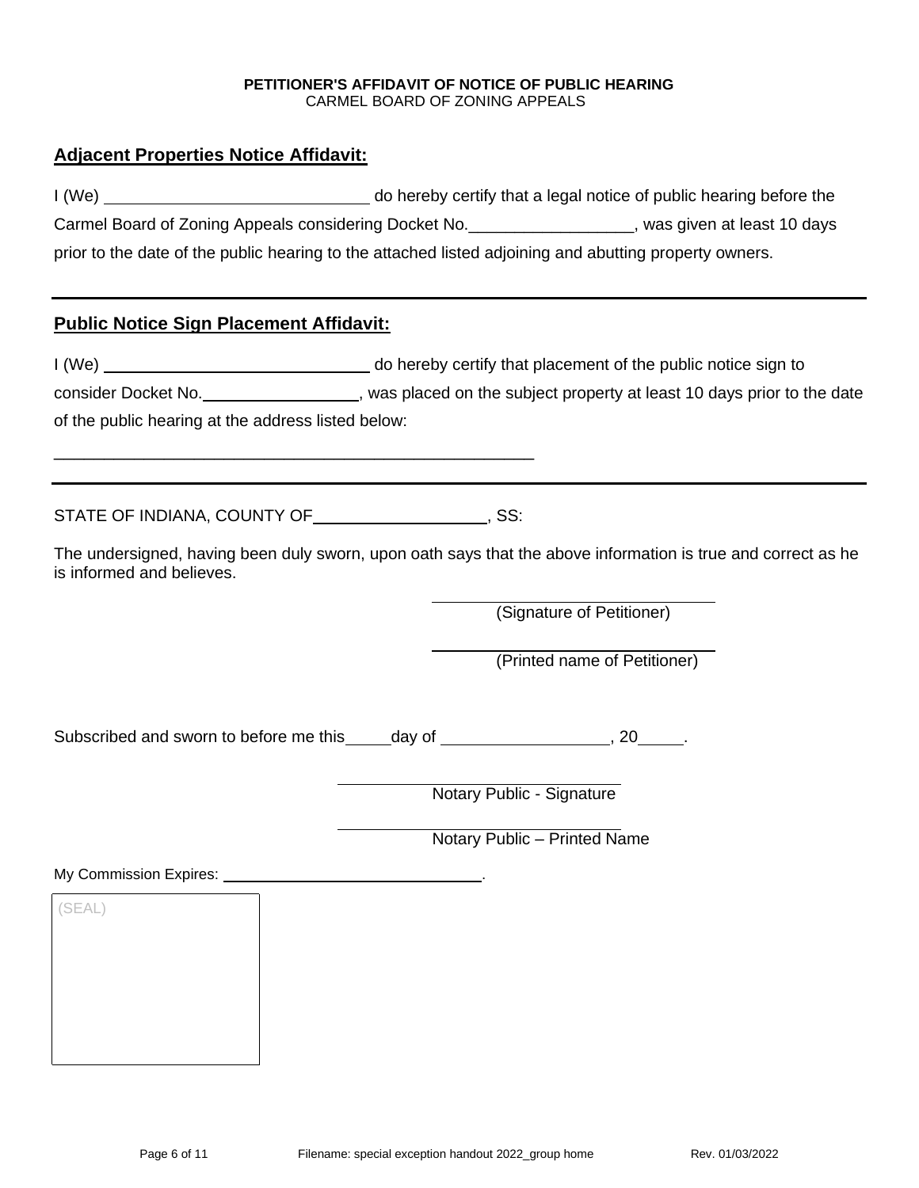#### **PETITIONER'S AFFIDAVIT OF NOTICE OF PUBLIC HEARING** CARMEL BOARD OF ZONING APPEALS

## **Adjacent Properties Notice Affidavit:**

| I(We) | do hereby certify that a legal notice of public hearing before the                                     |                              |
|-------|--------------------------------------------------------------------------------------------------------|------------------------------|
|       | Carmel Board of Zoning Appeals considering Docket No.                                                  | , was given at least 10 days |
|       | prior to the date of the public hearing to the attached listed adjoining and abutting property owners. |                              |

## **Public Notice Sign Placement Affidavit:**

I (We) do hereby certify that placement of the public notice sign to consider Docket No. *CONSIDER 2004* , was placed on the subject property at least 10 days prior to the date of the public hearing at the address listed below:

STATE OF INDIANA, COUNTY OF **COUNTY OF STATE**, SS:

\_\_\_\_\_\_\_\_\_\_\_\_\_\_\_\_\_\_\_\_\_\_\_\_\_\_\_\_\_\_\_\_\_\_\_\_\_\_\_\_\_\_\_\_\_\_\_\_

The undersigned, having been duly sworn, upon oath says that the above information is true and correct as he is informed and believes.

(Signature of Petitioner)

(Printed name of Petitioner)

Subscribed and sworn to before me this day of  $\frac{1}{2}$ , 20 ...

Notary Public - Signature

Notary Public – Printed Name

My Commission Expires:

(SEAL)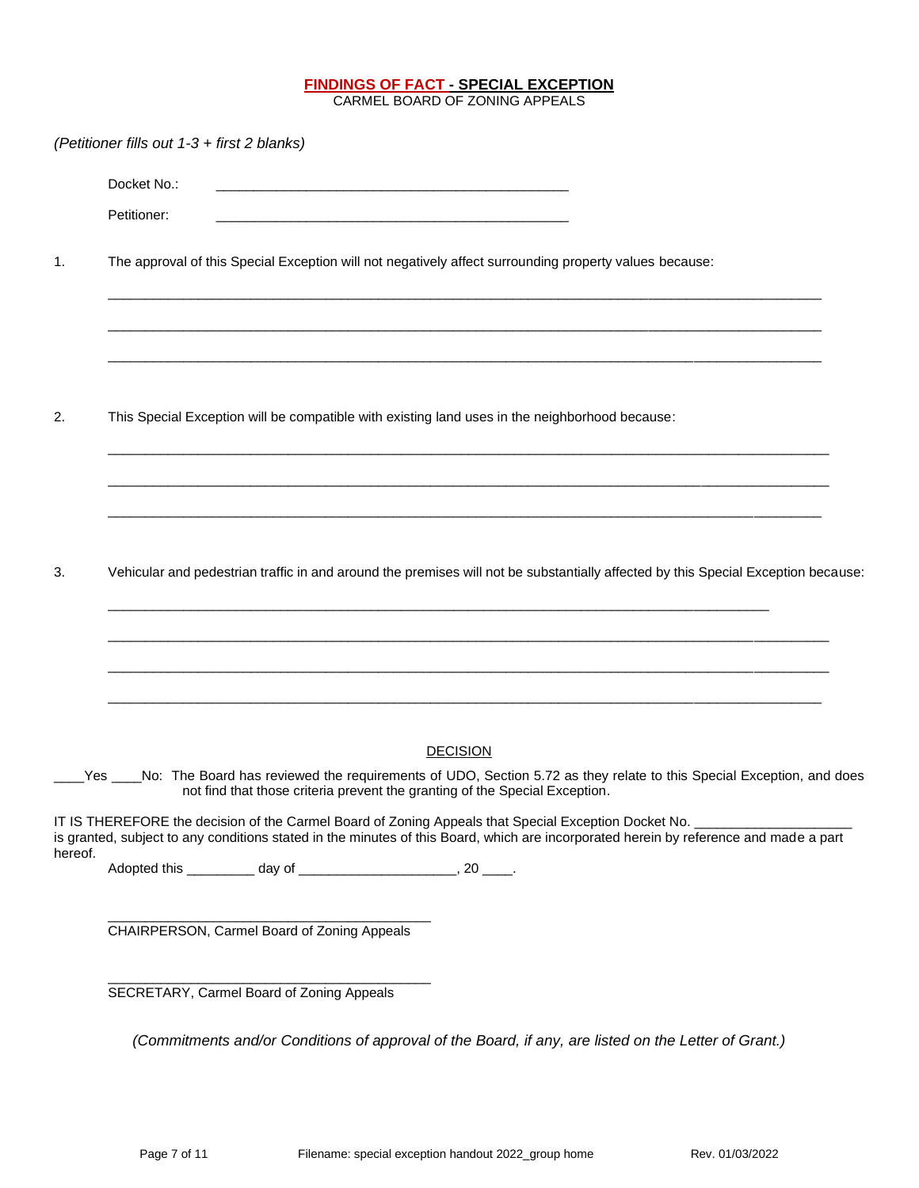#### **FINDINGS OF FACT - SPECIAL EXCEPTION** CARMEL BOARD OF ZONING APPEALS

*(Petitioner fills out 1-3 + first 2 blanks)* Docket No.: Petitioner: 1. The approval of this Special Exception will not negatively affect surrounding property values because: \_\_\_\_\_\_\_\_\_\_\_\_\_\_\_\_\_\_\_\_\_\_\_\_\_\_\_\_\_\_\_\_\_\_\_\_\_\_\_\_\_\_\_\_\_\_\_\_\_\_\_\_\_\_\_\_\_\_\_\_\_\_\_\_\_\_\_\_\_\_\_\_\_\_\_\_\_\_\_\_\_\_\_\_\_\_\_\_\_\_\_\_\_\_\_ \_\_\_\_\_\_\_\_\_\_\_\_\_\_\_\_\_\_\_\_\_\_\_\_\_\_\_\_\_\_\_\_\_\_\_\_\_\_\_\_\_\_\_\_\_\_\_\_\_\_\_\_\_\_\_\_\_\_\_\_\_\_\_\_\_\_\_\_\_\_\_\_\_\_\_\_\_\_\_\_\_\_\_\_\_\_\_\_\_\_\_\_\_\_\_ \_\_\_\_\_\_\_\_\_\_\_\_\_\_\_\_\_\_\_\_\_\_\_\_\_\_\_\_\_\_\_\_\_\_\_\_\_\_\_\_\_\_\_\_\_\_\_\_\_\_\_\_\_\_\_\_\_\_\_\_\_\_\_\_\_\_\_\_\_\_\_\_\_\_\_\_\_\_\_\_\_\_\_\_\_\_\_\_\_\_\_\_\_\_\_ 2. This Special Exception will be compatible with existing land uses in the neighborhood because:  $\mathcal{L}_\mathcal{L} = \{ \mathcal{L}_\mathcal{L} = \{ \mathcal{L}_\mathcal{L} = \{ \mathcal{L}_\mathcal{L} = \{ \mathcal{L}_\mathcal{L} = \{ \mathcal{L}_\mathcal{L} = \{ \mathcal{L}_\mathcal{L} = \{ \mathcal{L}_\mathcal{L} = \{ \mathcal{L}_\mathcal{L} = \{ \mathcal{L}_\mathcal{L} = \{ \mathcal{L}_\mathcal{L} = \{ \mathcal{L}_\mathcal{L} = \{ \mathcal{L}_\mathcal{L} = \{ \mathcal{L}_\mathcal{L} = \{ \mathcal{L}_\mathcal{$  $\mathcal{L}_\mathcal{L} = \{ \mathcal{L}_\mathcal{L} = \{ \mathcal{L}_\mathcal{L} = \{ \mathcal{L}_\mathcal{L} = \{ \mathcal{L}_\mathcal{L} = \{ \mathcal{L}_\mathcal{L} = \{ \mathcal{L}_\mathcal{L} = \{ \mathcal{L}_\mathcal{L} = \{ \mathcal{L}_\mathcal{L} = \{ \mathcal{L}_\mathcal{L} = \{ \mathcal{L}_\mathcal{L} = \{ \mathcal{L}_\mathcal{L} = \{ \mathcal{L}_\mathcal{L} = \{ \mathcal{L}_\mathcal{L} = \{ \mathcal{L}_\mathcal{$ \_\_\_\_\_\_\_\_\_\_\_\_\_\_\_\_\_\_\_\_\_\_\_\_\_\_\_\_\_\_\_\_\_\_\_\_\_\_\_\_\_\_\_\_\_\_\_\_\_\_\_\_\_\_\_\_\_\_\_\_\_\_\_\_\_\_\_\_\_\_\_\_\_\_\_\_\_\_\_\_\_\_\_\_\_\_\_\_\_\_\_\_\_\_\_ 3. Vehicular and pedestrian traffic in and around the premises will not be substantially affected by this Special Exception because: \_\_\_\_\_\_\_\_\_\_\_\_\_\_\_\_\_\_\_\_\_\_\_\_\_\_\_\_\_\_\_\_\_\_\_\_\_\_\_\_\_\_\_\_\_\_\_\_\_\_\_\_\_\_\_\_\_\_\_\_\_\_\_\_\_\_\_\_\_\_\_\_\_\_\_\_\_\_\_\_\_\_\_\_\_\_\_\_  $\Box$  $\Box$ \_\_\_\_\_\_\_\_\_\_\_\_\_\_\_\_\_\_\_\_\_\_\_\_\_\_\_\_\_\_\_\_\_\_\_\_\_\_\_\_\_\_\_\_\_\_\_\_\_\_\_\_\_\_\_\_\_\_\_\_\_\_\_\_\_\_\_\_\_\_\_\_\_\_\_\_\_\_\_\_\_\_\_\_\_\_\_\_\_\_\_\_\_\_\_ **DECISION** Yes \_\_\_No: The Board has reviewed the requirements of UDO, Section 5.72 as they relate to this Special Exception, and does not find that those criteria prevent the granting of the Special Exception. IT IS THEREFORE the decision of the Carmel Board of Zoning Appeals that Special Exception Docket No. is granted, subject to any conditions stated in the minutes of this Board, which are incorporated herein by reference and made a part hereof. Adopted this day of the set of the set of the set of the set of the set of the set of the set of the set of the set of the set of the set of the set of the set of the set of the set of the set of the set of the set of the \_\_\_\_\_\_\_\_\_\_\_\_\_\_\_\_\_\_\_\_\_\_\_\_\_\_\_\_\_\_\_\_\_\_\_\_\_\_\_\_\_\_\_ CHAIRPERSON, Carmel Board of Zoning Appeals \_\_\_\_\_\_\_\_\_\_\_\_\_\_\_\_\_\_\_\_\_\_\_\_\_\_\_\_\_\_\_\_\_\_\_\_\_\_\_\_\_\_\_ SECRETARY, Carmel Board of Zoning Appeals *(Commitments and/or Conditions of approval of the Board, if any, are listed on the Letter of Grant.)*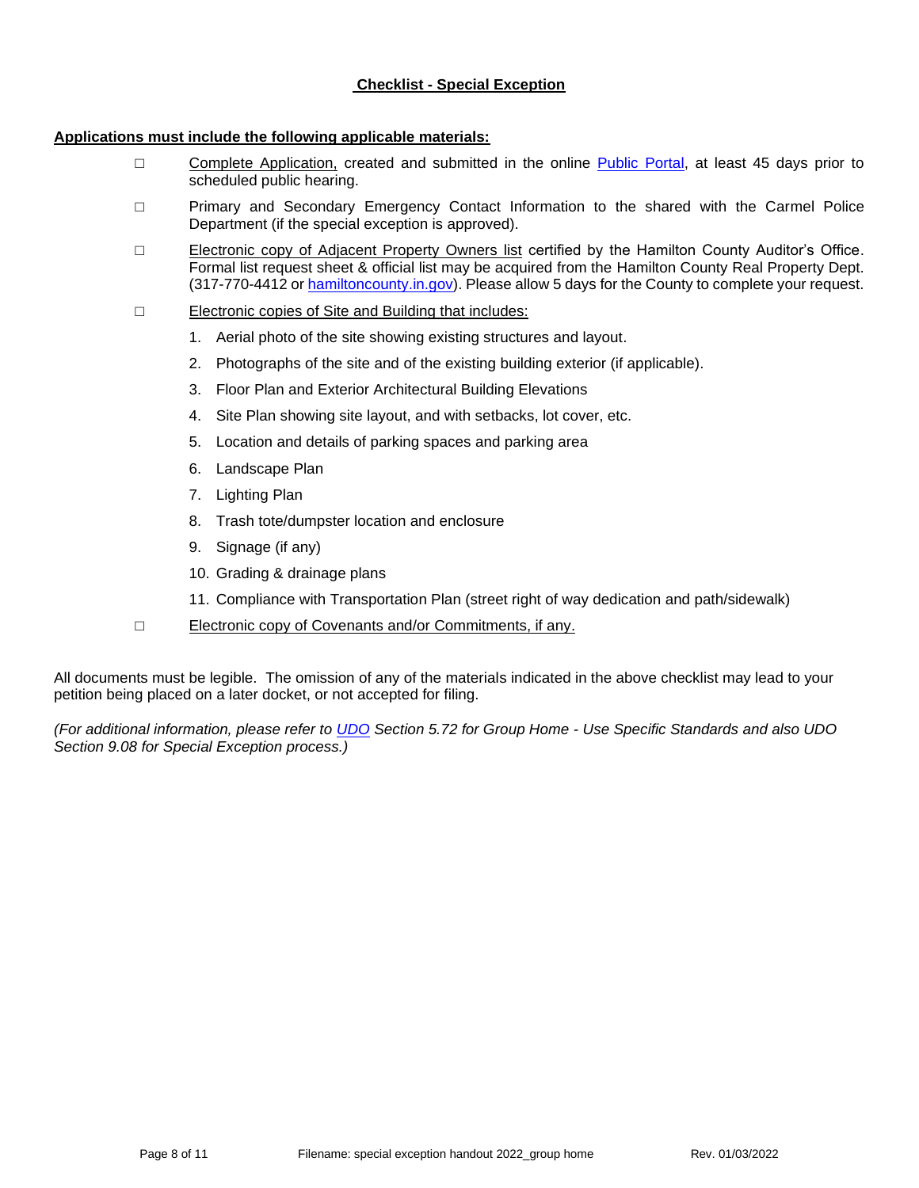## **Checklist - Special Exception**

### **Applications must include the following applicable materials:**

- □ Complete Application, created and submitted in the online [Public Portal,](https://cw.carmel.in.gov/PublicAccess/template/Login.aspx) at least 45 days prior to scheduled public hearing.
- □ Primary and Secondary Emergency Contact Information to the shared with the Carmel Police Department (if the special exception is approved).
- □ Electronic copy of Adjacent Property Owners list certified by the Hamilton County Auditor's Office. Formal list request sheet & official list may be acquired from the Hamilton County Real Property Dept. (317-770-4412 or [hamiltoncounty.in.gov\)](https://www.hamiltoncounty.in.gov/369/Adjoiner-Property-Notifications). Please allow 5 days for the County to complete your request.
- □ Electronic copies of Site and Building that includes:
	- 1. Aerial photo of the site showing existing structures and layout.
	- 2. Photographs of the site and of the existing building exterior (if applicable).
	- 3. Floor Plan and Exterior Architectural Building Elevations
	- 4. Site Plan showing site layout, and with setbacks, lot cover, etc.
	- 5. Location and details of parking spaces and parking area
	- 6. Landscape Plan
	- 7. Lighting Plan
	- 8. Trash tote/dumpster location and enclosure
	- 9. Signage (if any)
	- 10. Grading & drainage plans
	- 11. Compliance with Transportation Plan (street right of way dedication and path/sidewalk)
- □ Electronic copy of Covenants and/or Commitments, if any.

All documents must be legible. The omission of any of the materials indicated in the above checklist may lead to your petition being placed on a later docket, or not accepted for filing.

*(For additional information, please refer to [UDO](https://www.carmel.in.gov/department-services/community-services-planning-and-zoning-/codes-ordinances) Section 5.72 for Group Home - Use Specific Standards and also UDO Section 9.08 for Special Exception process.)*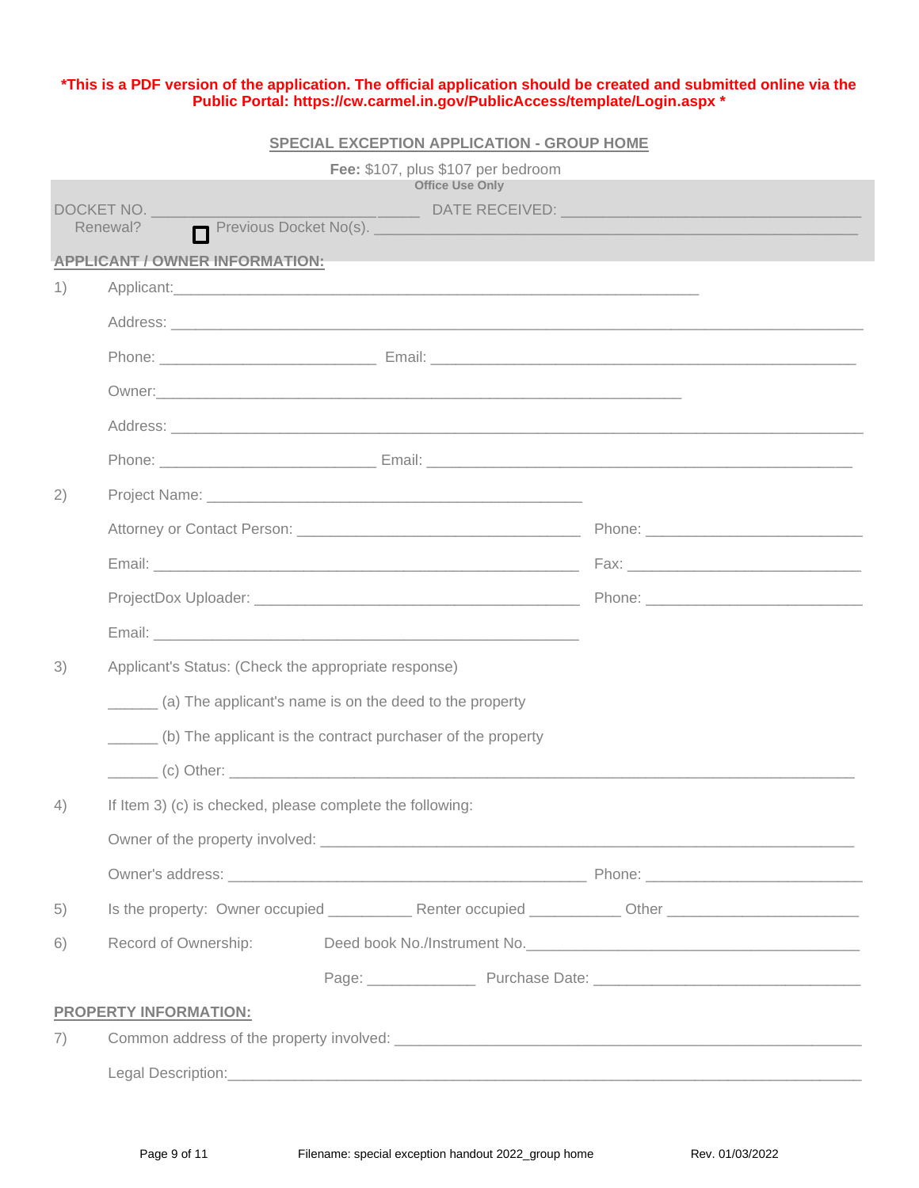#### **\*This is a PDF version of the application. The official application should be created and submitted online via the Public Portal:<https://cw.carmel.in.gov/PublicAccess/template/Login.aspx> \***

### **SPECIAL EXCEPTION APPLICATION - GROUP HOME**

|    | Fee: \$107, plus \$107 per bedroom<br><b>Office Use Only</b>                                                                                                                                                                         |  |  |
|----|--------------------------------------------------------------------------------------------------------------------------------------------------------------------------------------------------------------------------------------|--|--|
|    | DOCKET NO.                                                                                                                                                                                                                           |  |  |
|    | Previous Docket No(s).<br>Renewal?                                                                                                                                                                                                   |  |  |
|    | <b>APPLICANT / OWNER INFORMATION:</b>                                                                                                                                                                                                |  |  |
| 1) |                                                                                                                                                                                                                                      |  |  |
|    |                                                                                                                                                                                                                                      |  |  |
|    |                                                                                                                                                                                                                                      |  |  |
|    | Owner: <u>2000 - 2000 - 2000 - 2000 - 2000 - 2000 - 2000 - 2000 - 2000 - 2000 - 2000 - 2000 - 2000 - 2000 - 2000 - 2000 - 2000 - 2000 - 2000 - 2000 - 2000 - 2000 - 2000 - 2000 - 2000 - 2000 - 2000 - 2000 - 2000 - 2000 - 2000</u> |  |  |
|    |                                                                                                                                                                                                                                      |  |  |
|    |                                                                                                                                                                                                                                      |  |  |
| 2) |                                                                                                                                                                                                                                      |  |  |
|    |                                                                                                                                                                                                                                      |  |  |
|    |                                                                                                                                                                                                                                      |  |  |
|    |                                                                                                                                                                                                                                      |  |  |
|    |                                                                                                                                                                                                                                      |  |  |
| 3) | Applicant's Status: (Check the appropriate response)                                                                                                                                                                                 |  |  |
|    | (a) The applicant's name is on the deed to the property                                                                                                                                                                              |  |  |
|    | (b) The applicant is the contract purchaser of the property                                                                                                                                                                          |  |  |
|    |                                                                                                                                                                                                                                      |  |  |
| 4) | If Item 3) (c) is checked, please complete the following:                                                                                                                                                                            |  |  |
|    |                                                                                                                                                                                                                                      |  |  |
|    |                                                                                                                                                                                                                                      |  |  |
| 5) |                                                                                                                                                                                                                                      |  |  |
| 6) | Record of Ownership:                                                                                                                                                                                                                 |  |  |
|    |                                                                                                                                                                                                                                      |  |  |
|    | <b>PROPERTY INFORMATION:</b>                                                                                                                                                                                                         |  |  |
| 7) |                                                                                                                                                                                                                                      |  |  |
|    |                                                                                                                                                                                                                                      |  |  |
|    |                                                                                                                                                                                                                                      |  |  |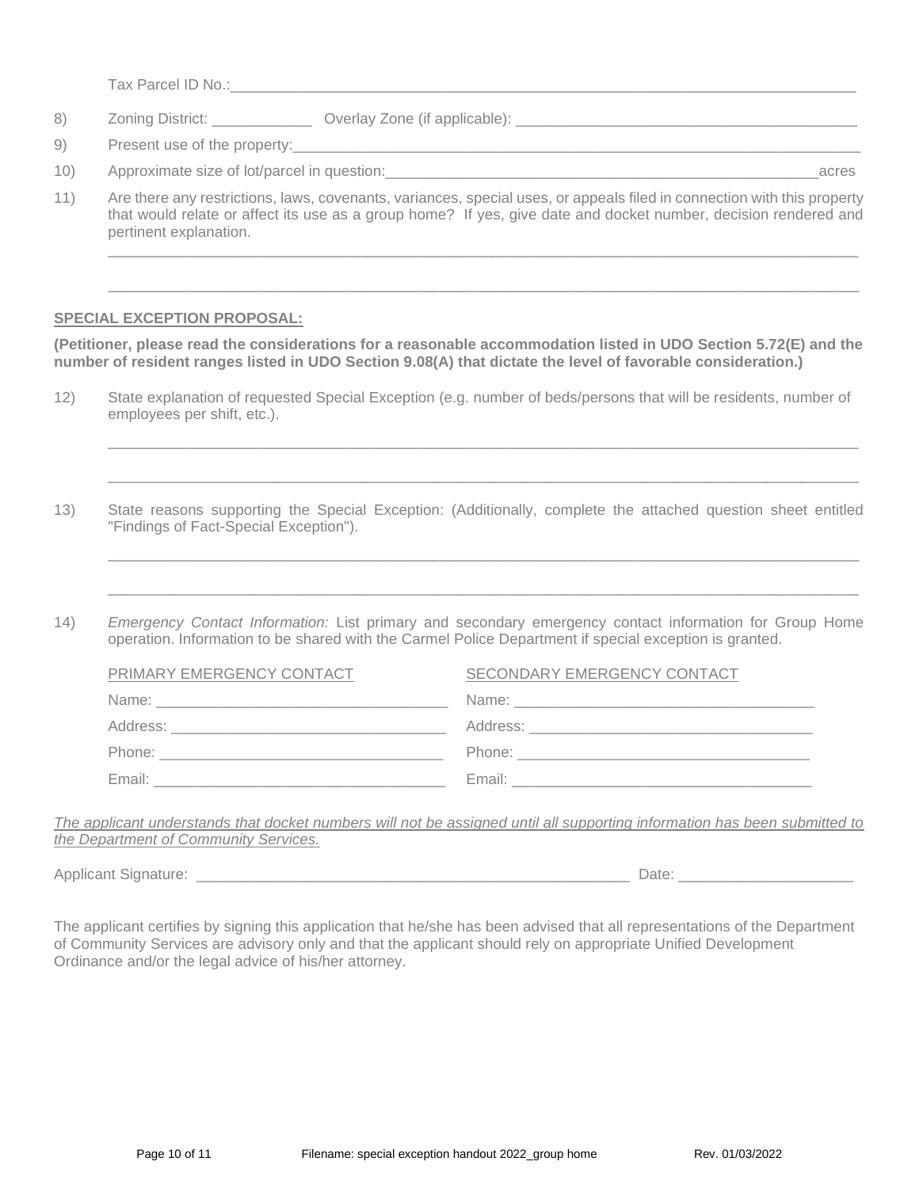Tax Parcel ID No.:\_\_\_\_\_\_\_\_\_\_\_\_\_\_\_\_\_\_\_\_\_\_\_\_\_\_\_\_\_\_\_\_\_\_\_\_\_\_\_\_\_\_\_\_\_\_\_\_\_\_\_\_\_\_\_\_\_\_\_\_\_\_\_\_\_\_\_\_\_\_\_\_\_\_\_

8) Zoning District:  $Overlav$  Zone (if applicable):

9) Present use of the property:

- 10) Approximate size of lot/parcel in question:\_\_\_\_\_\_\_\_\_\_\_\_\_\_\_\_\_\_\_\_\_\_\_\_\_\_\_\_\_\_\_\_\_\_\_\_\_\_\_\_\_\_\_\_\_\_\_\_\_\_\_\_acres
- 11) Are there any restrictions, laws, covenants, variances, special uses, or appeals filed in connection with this property that would relate or affect its use as a group home? If yes, give date and docket number, decision rendered and pertinent explanation.

\_\_\_\_\_\_\_\_\_\_\_\_\_\_\_\_\_\_\_\_\_\_\_\_\_\_\_\_\_\_\_\_\_\_\_\_\_\_\_\_\_\_\_\_\_\_\_\_\_\_\_\_\_\_\_\_\_\_\_\_\_\_\_\_\_\_\_\_\_\_\_\_\_\_\_\_\_\_\_\_\_\_\_\_\_\_\_\_\_\_

\_\_\_\_\_\_\_\_\_\_\_\_\_\_\_\_\_\_\_\_\_\_\_\_\_\_\_\_\_\_\_\_\_\_\_\_\_\_\_\_\_\_\_\_\_\_\_\_\_\_\_\_\_\_\_\_\_\_\_\_\_\_\_\_\_\_\_\_\_\_\_\_\_\_\_\_\_\_\_\_\_\_\_\_\_\_\_\_\_\_

\_\_\_\_\_\_\_\_\_\_\_\_\_\_\_\_\_\_\_\_\_\_\_\_\_\_\_\_\_\_\_\_\_\_\_\_\_\_\_\_\_\_\_\_\_\_\_\_\_\_\_\_\_\_\_\_\_\_\_\_\_\_\_\_\_\_\_\_\_\_\_\_\_\_\_\_\_\_\_\_\_\_\_\_\_\_\_\_\_\_

 $\Box$  . The contribution of the contribution of the contribution of the contribution of the contribution of the contribution of the contribution of the contribution of the contribution of the contribution of the contributi

\_\_\_\_\_\_\_\_\_\_\_\_\_\_\_\_\_\_\_\_\_\_\_\_\_\_\_\_\_\_\_\_\_\_\_\_\_\_\_\_\_\_\_\_\_\_\_\_\_\_\_\_\_\_\_\_\_\_\_\_\_\_\_\_\_\_\_\_\_\_\_\_\_\_\_\_\_\_\_\_\_\_\_\_\_\_\_\_\_\_

\_\_\_\_\_\_\_\_\_\_\_\_\_\_\_\_\_\_\_\_\_\_\_\_\_\_\_\_\_\_\_\_\_\_\_\_\_\_\_\_\_\_\_\_\_\_\_\_\_\_\_\_\_\_\_\_\_\_\_\_\_\_\_\_\_\_\_\_\_\_\_\_\_\_\_\_\_\_\_\_\_\_\_\_\_\_\_\_\_\_

### **SPECIAL EXCEPTION PROPOSAL:**

**(Petitioner, please read the considerations for a reasonable accommodation listed in UDO Section 5.72(E) and the number of resident ranges listed in UDO Section 9.08(A) that dictate the level of favorable consideration.)** 

12) State explanation of requested Special Exception (e.g. number of beds/persons that will be residents, number of employees per shift, etc.).

13) State reasons supporting the Special Exception: (Additionally, complete the attached question sheet entitled "Findings of Fact-Special Exception").

14) *Emergency Contact Information:* List primary and secondary emergency contact information for Group Home operation. Information to be shared with the Carmel Police Department if special exception is granted.

| PRIMARY EMERGENCY CONTACT | SECONDARY EMERGENCY CONTACT     |
|---------------------------|---------------------------------|
|                           |                                 |
|                           | Address: ______________________ |
|                           |                                 |
| Email:                    |                                 |

*The applicant understands that docket numbers will not be assigned until all supporting information has been submitted to the Department of Community Services.*

Applicant Signature: \_\_\_\_\_\_\_\_\_\_\_\_\_\_\_\_\_\_\_\_\_\_\_\_\_\_\_\_\_\_\_\_\_\_\_\_\_\_\_\_\_\_\_\_\_\_\_\_\_\_\_\_ Date: \_\_\_\_\_\_\_\_\_\_\_\_\_\_\_\_\_\_\_\_\_

The applicant certifies by signing this application that he/she has been advised that all representations of the Department of Community Services are advisory only and that the applicant should rely on appropriate Unified Development Ordinance and/or the legal advice of his/her attorney.